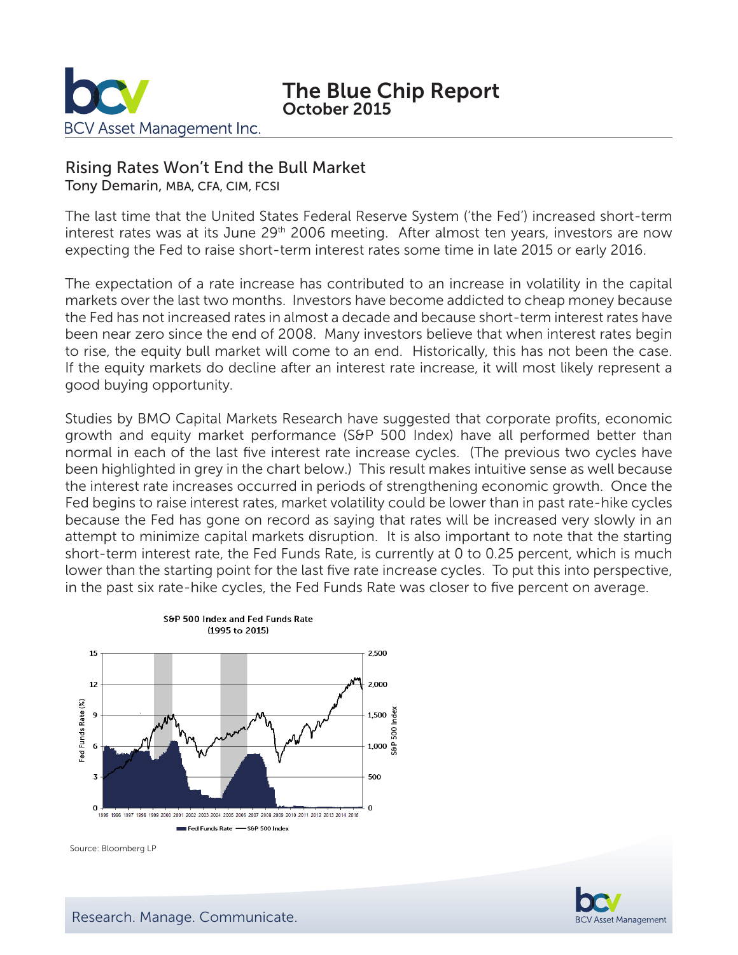

The Blue Chip Report October 2015

# Rising Rates Won't End the Bull Market

Tony Demarin, MBA, CFA, CIM, FCSI

The last time that the United States Federal Reserve System ('the Fed') increased short-term interest rates was at its June 29<sup>th</sup> 2006 meeting. After almost ten years, investors are now expecting the Fed to raise short-term interest rates some time in late 2015 or early 2016.

The expectation of a rate increase has contributed to an increase in volatility in the capital markets over the last two months. Investors have become addicted to cheap money because the Fed has not increased rates in almost a decade and because short-term interest rates have been near zero since the end of 2008. Many investors believe that when interest rates begin to rise, the equity bull market will come to an end. Historically, this has not been the case. If the equity markets do decline after an interest rate increase, it will most likely represent a good buying opportunity.

Studies by BMO Capital Markets Research have suggested that corporate profits, economic growth and equity market performance (S&P 500 Index) have all performed better than normal in each of the last five interest rate increase cycles. (The previous two cycles have been highlighted in grey in the chart below.) This result makes intuitive sense as well because the interest rate increases occurred in periods of strengthening economic growth. Once the Fed begins to raise interest rates, market volatility could be lower than in past rate-hike cycles because the Fed has gone on record as saying that rates will be increased very slowly in an attempt to minimize capital markets disruption. It is also important to note that the starting short-term interest rate, the Fed Funds Rate, is currently at 0 to 0.25 percent, which is much lower than the starting point for the last five rate increase cycles. To put this into perspective, in the past six rate-hike cycles, the Fed Funds Rate was closer to five percent on average.



Source: Bloomberg LP

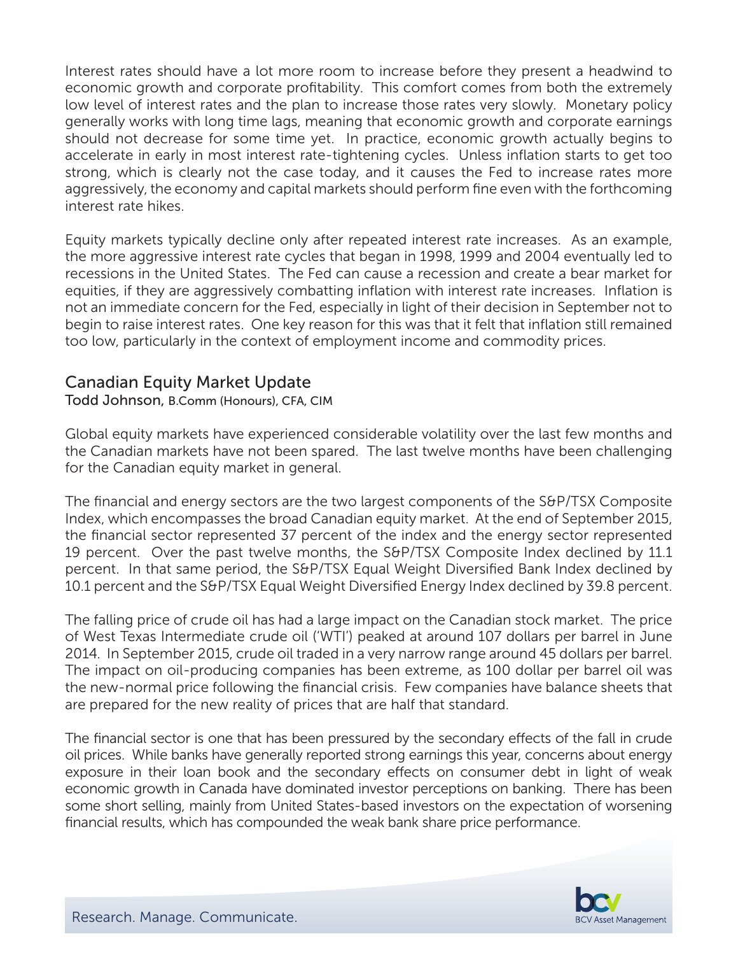Interest rates should have a lot more room to increase before they present a headwind to economic growth and corporate profitability. This comfort comes from both the extremely low level of interest rates and the plan to increase those rates very slowly. Monetary policy generally works with long time lags, meaning that economic growth and corporate earnings should not decrease for some time yet. In practice, economic growth actually begins to accelerate in early in most interest rate-tightening cycles. Unless inflation starts to get too strong, which is clearly not the case today, and it causes the Fed to increase rates more aggressively, the economy and capital markets should perform fine even with the forthcoming interest rate hikes.

Equity markets typically decline only after repeated interest rate increases. As an example, the more aggressive interest rate cycles that began in 1998, 1999 and 2004 eventually led to recessions in the United States. The Fed can cause a recession and create a bear market for equities, if they are aggressively combatting inflation with interest rate increases. Inflation is not an immediate concern for the Fed, especially in light of their decision in September not to begin to raise interest rates. One key reason for this was that it felt that inflation still remained too low, particularly in the context of employment income and commodity prices.

# Canadian Equity Market Update

### Todd Johnson, B.Comm (Honours), CFA, CIM

Global equity markets have experienced considerable volatility over the last few months and the Canadian markets have not been spared. The last twelve months have been challenging for the Canadian equity market in general.

The financial and energy sectors are the two largest components of the S&P/TSX Composite Index, which encompasses the broad Canadian equity market. At the end of September 2015, the financial sector represented 37 percent of the index and the energy sector represented 19 percent. Over the past twelve months, the S&P/TSX Composite Index declined by 11.1 percent. In that same period, the S&P/TSX Equal Weight Diversified Bank Index declined by 10.1 percent and the S&P/TSX Equal Weight Diversified Energy Index declined by 39.8 percent.

The falling price of crude oil has had a large impact on the Canadian stock market. The price of West Texas Intermediate crude oil ('WTI') peaked at around 107 dollars per barrel in June 2014. In September 2015, crude oil traded in a very narrow range around 45 dollars per barrel. The impact on oil-producing companies has been extreme, as 100 dollar per barrel oil was the new-normal price following the financial crisis. Few companies have balance sheets that are prepared for the new reality of prices that are half that standard.

The financial sector is one that has been pressured by the secondary effects of the fall in crude oil prices. While banks have generally reported strong earnings this year, concerns about energy exposure in their loan book and the secondary effects on consumer debt in light of weak economic growth in Canada have dominated investor perceptions on banking. There has been some short selling, mainly from United States-based investors on the expectation of worsening financial results, which has compounded the weak bank share price performance.

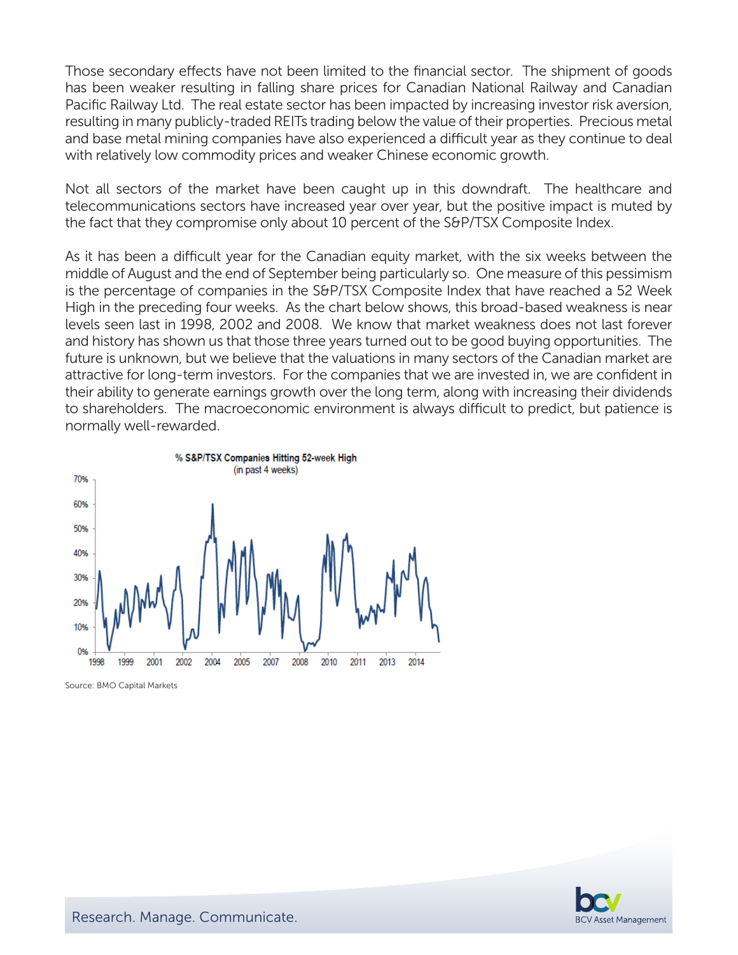Those secondary effects have not been limited to the financial sector. The shipment of goods has been weaker resulting in falling share prices for Canadian National Railway and Canadian Pacific Railway Ltd. The real estate sector has been impacted by increasing investor risk aversion, resulting in many publicly-traded REITs trading below the value of their properties. Precious metal and base metal mining companies have also experienced a difficult year as they continue to deal with relatively low commodity prices and weaker Chinese economic growth.

Not all sectors of the market have been caught up in this downdraft. The healthcare and telecommunications sectors have increased year over year, but the positive impact is muted by the fact that they compromise only about 10 percent of the S&P/TSX Composite Index.

As it has been a difficult year for the Canadian equity market, with the six weeks between the middle of August and the end of September being particularly so. One measure of this pessimism is the percentage of companies in the S&P/TSX Composite Index that have reached a 52 Week High in the preceding four weeks. As the chart below shows, this broad-based weakness is near levels seen last in 1998, 2002 and 2008. We know that market weakness does not last forever and history has shown us that those three years turned out to be good buying opportunities. The future is unknown, but we believe that the valuations in many sectors of the Canadian market are attractive for long-term investors. For the companies that we are invested in, we are confident in their ability to generate earnings growth over the long term, along with increasing their dividends to shareholders. The macroeconomic environment is always difficult to predict, but patience is normally well-rewarded.



Source: BMO Capital Markets

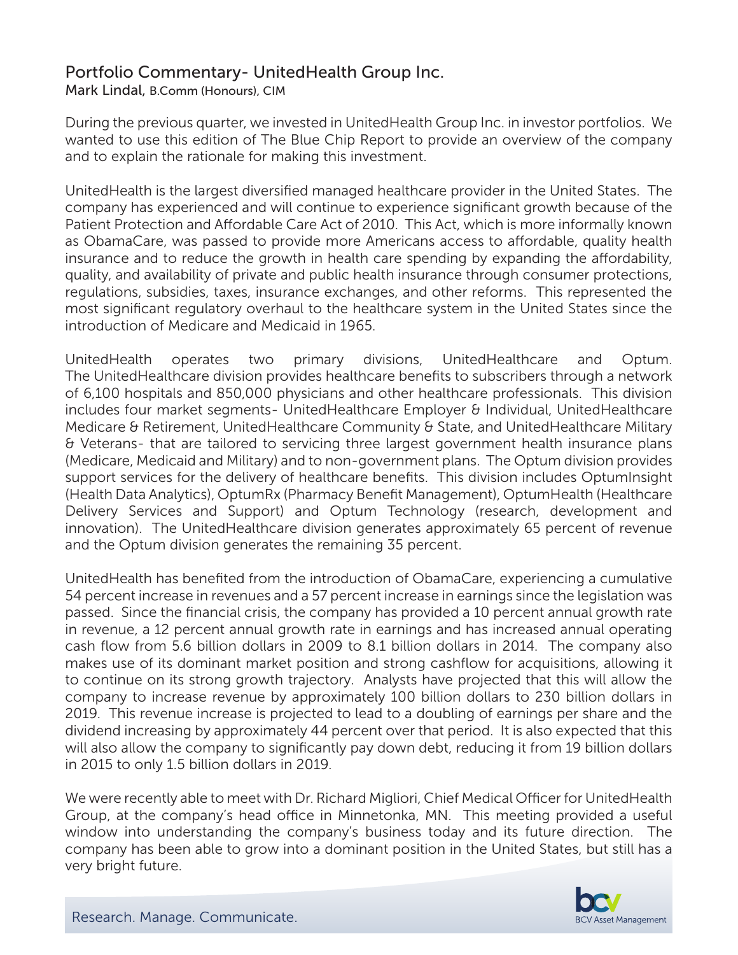# Portfolio Commentary- UnitedHealth Group Inc.

Mark Lindal, B.Comm (Honours), CIM

During the previous quarter, we invested in UnitedHealth Group Inc. in investor portfolios. We wanted to use this edition of The Blue Chip Report to provide an overview of the company and to explain the rationale for making this investment.

UnitedHealth is the largest diversified managed healthcare provider in the United States. The company has experienced and will continue to experience significant growth because of the Patient Protection and Affordable Care Act of 2010. This Act, which is more informally known as ObamaCare, was passed to provide more Americans access to affordable, quality health insurance and to reduce the growth in health care spending by expanding the affordability, quality, and availability of private and public health insurance through consumer protections, regulations, subsidies, taxes, insurance exchanges, and other reforms. This represented the most significant regulatory overhaul to the healthcare system in the United States since the introduction of Medicare and Medicaid in 1965.

UnitedHealth operates two primary divisions, UnitedHealthcare and Optum. The UnitedHealthcare division provides healthcare benefits to subscribers through a network of 6,100 hospitals and 850,000 physicians and other healthcare professionals. This division includes four market segments- UnitedHealthcare Employer & Individual, UnitedHealthcare Medicare & Retirement, UnitedHealthcare Community & State, and UnitedHealthcare Military & Veterans- that are tailored to servicing three largest government health insurance plans (Medicare, Medicaid and Military) and to non-government plans. The Optum division provides support services for the delivery of healthcare benefits. This division includes OptumInsight (Health Data Analytics), OptumRx (Pharmacy Benefit Management), OptumHealth (Healthcare Delivery Services and Support) and Optum Technology (research, development and innovation). The UnitedHealthcare division generates approximately 65 percent of revenue and the Optum division generates the remaining 35 percent.

UnitedHealth has benefited from the introduction of ObamaCare, experiencing a cumulative 54 percent increase in revenues and a 57 percent increase in earnings since the legislation was passed. Since the financial crisis, the company has provided a 10 percent annual growth rate in revenue, a 12 percent annual growth rate in earnings and has increased annual operating cash flow from 5.6 billion dollars in 2009 to 8.1 billion dollars in 2014. The company also makes use of its dominant market position and strong cashflow for acquisitions, allowing it to continue on its strong growth trajectory. Analysts have projected that this will allow the company to increase revenue by approximately 100 billion dollars to 230 billion dollars in 2019. This revenue increase is projected to lead to a doubling of earnings per share and the dividend increasing by approximately 44 percent over that period. It is also expected that this will also allow the company to significantly pay down debt, reducing it from 19 billion dollars in 2015 to only 1.5 billion dollars in 2019.

We were recently able to meet with Dr. Richard Migliori, Chief Medical Officer for UnitedHealth Group, at the company's head office in Minnetonka, MN. This meeting provided a useful window into understanding the company's business today and its future direction. The company has been able to grow into a dominant position in the United States, but still has a very bright future.

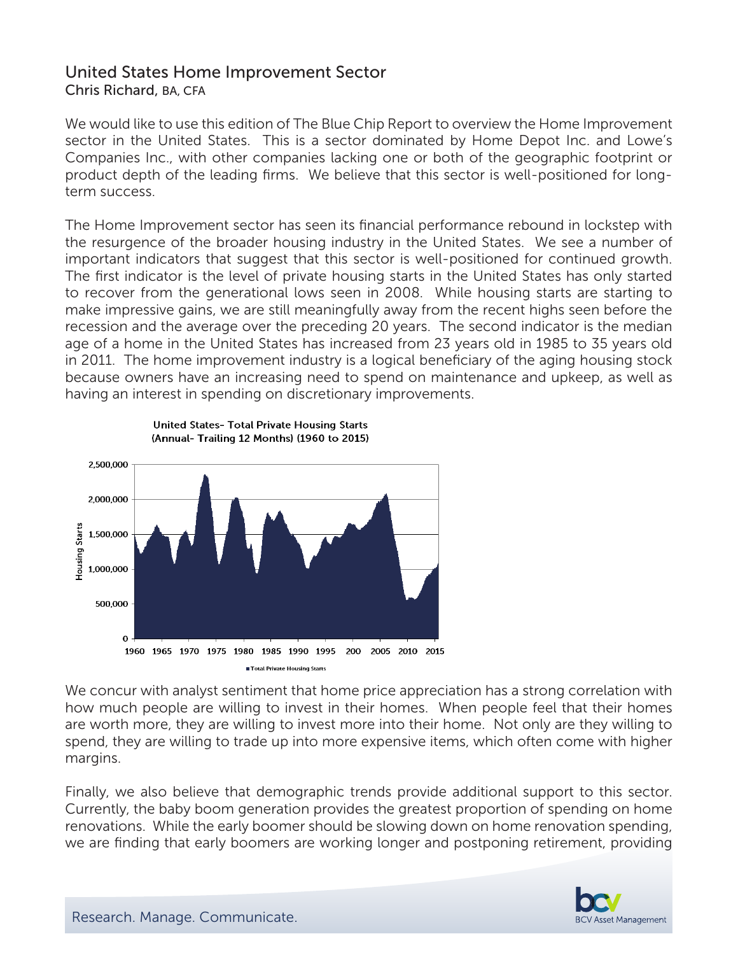# United States Home Improvement Sector Chris Richard, BA, CFA

We would like to use this edition of The Blue Chip Report to overview the Home Improvement sector in the United States. This is a sector dominated by Home Depot Inc. and Lowe's Companies Inc., with other companies lacking one or both of the geographic footprint or product depth of the leading firms. We believe that this sector is well-positioned for longterm success.

The Home Improvement sector has seen its financial performance rebound in lockstep with the resurgence of the broader housing industry in the United States. We see a number of important indicators that suggest that this sector is well-positioned for continued growth. The first indicator is the level of private housing starts in the United States has only started to recover from the generational lows seen in 2008. While housing starts are starting to make impressive gains, we are still meaningfully away from the recent highs seen before the recession and the average over the preceding 20 years. The second indicator is the median age of a home in the United States has increased from 23 years old in 1985 to 35 years old in 2011. The home improvement industry is a logical beneficiary of the aging housing stock because owners have an increasing need to spend on maintenance and upkeep, as well as having an interest in spending on discretionary improvements.



We concur with analyst sentiment that home price appreciation has a strong correlation with how much people are willing to invest in their homes. When people feel that their homes are worth more, they are willing to invest more into their home. Not only are they willing to spend, they are willing to trade up into more expensive items, which often come with higher margins.

Finally, we also believe that demographic trends provide additional support to this sector. Currently, the baby boom generation provides the greatest proportion of spending on home renovations. While the early boomer should be slowing down on home renovation spending, we are finding that early boomers are working longer and postponing retirement, providing



Research. Manage. Communicate.